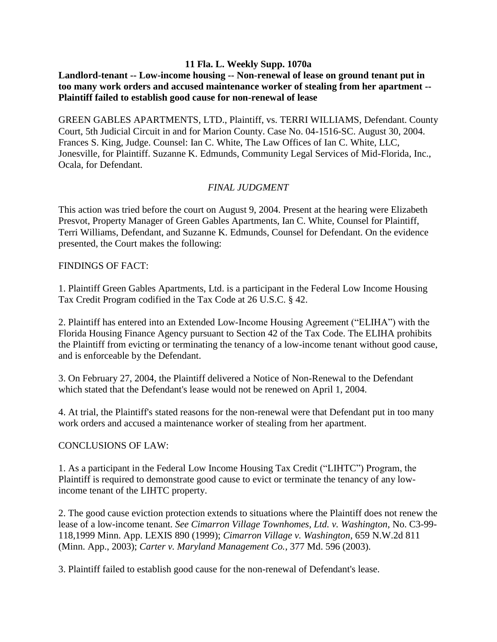#### **11 Fla. L. Weekly Supp. 1070a**

# **Landlord-tenant -- Low-income housing -- Non-renewal of lease on ground tenant put in too many work orders and accused maintenance worker of stealing from her apartment -- Plaintiff failed to establish good cause for non-renewal of lease**

GREEN GABLES APARTMENTS, LTD., Plaintiff, vs. TERRI WILLIAMS, Defendant. County Court, 5th Judicial Circuit in and for Marion County. Case No. 04-1516-SC. August 30, 2004. Frances S. King, Judge. Counsel: Ian C. White, The Law Offices of Ian C. White, LLC, Jonesville, for Plaintiff. Suzanne K. Edmunds, Community Legal Services of Mid-Florida, Inc., Ocala, for Defendant.

# *FINAL JUDGMENT*

This action was tried before the court on August 9, 2004. Present at the hearing were Elizabeth Presvot, Property Manager of Green Gables Apartments, Ian C. White, Counsel for Plaintiff, Terri Williams, Defendant, and Suzanne K. Edmunds, Counsel for Defendant. On the evidence presented, the Court makes the following:

#### FINDINGS OF FACT:

1. Plaintiff Green Gables Apartments, Ltd. is a participant in the Federal Low Income Housing Tax Credit Program codified in the Tax Code at 26 U.S.C. § 42.

2. Plaintiff has entered into an Extended Low-Income Housing Agreement ("ELIHA") with the Florida Housing Finance Agency pursuant to Section 42 of the Tax Code. The ELIHA prohibits the Plaintiff from evicting or terminating the tenancy of a low-income tenant without good cause, and is enforceable by the Defendant.

3. On February 27, 2004, the Plaintiff delivered a Notice of Non-Renewal to the Defendant which stated that the Defendant's lease would not be renewed on April 1, 2004.

4. At trial, the Plaintiff's stated reasons for the non-renewal were that Defendant put in too many work orders and accused a maintenance worker of stealing from her apartment.

# CONCLUSIONS OF LAW:

1. As a participant in the Federal Low Income Housing Tax Credit ("LIHTC") Program, the Plaintiff is required to demonstrate good cause to evict or terminate the tenancy of any lowincome tenant of the LIHTC property.

2. The good cause eviction protection extends to situations where the Plaintiff does not renew the lease of a low-income tenant. *See Cimarron Village Townhomes, Ltd. v. Washington*, No. C3-99- 118,1999 Minn. App. LEXIS 890 (1999); *Cimarron Village v. Washington*, 659 N.W.2d 811 (Minn. App., 2003); *Carter v. Maryland Management Co.*, 377 Md. 596 (2003).

3. Plaintiff failed to establish good cause for the non-renewal of Defendant's lease.